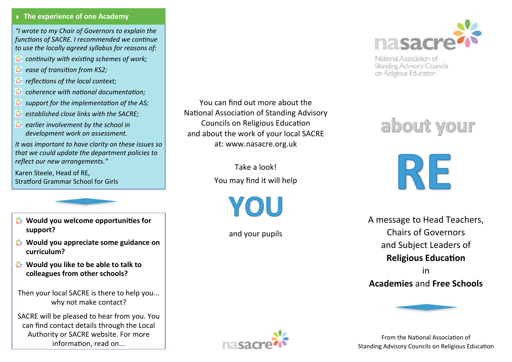## **EXP** The experience of one Academy

*"I wrote to my Chair of Governors to explain the functions of SACRE. I recommended we continue* to use the locally agreed syllabus for reasons of:

- 棸 *continuity with existing schemes of work;*
- *ease of transition from KS2;*
- 聚 *reflections of the local context;*
- 棸 *coherence with national documentation;*
- support for the *implementation* of the AS;
- *established close links with the SACRE;*
- 聚 *earlier involvement by the school in development work on assessment.*

It was important to have clarity on these issues so that we could update the department policies to *reflect our new arrangements."*

Karen Steele, Head of RE, Stratford Grammar School for Girls

- **Would you welcome opportunities for support?**
- **Would you appreciate some guidance on curriculum?**
- **Would you like to be able to talk to** colleagues from other schools?

Then your local SACRE is there to help you... why not make contact?

SACRE will be pleased to hear from you. You can find contact details through the Local Authority or SACRE website. For more information, read on...

You can find out more about the National Association of Standing Advisory Councils on Religious Education and about the work of your local SACRE at: www.nasacre.org.uk

> Take a look! You may find it will help

> > YOU

and your pupils



National Association of **Standing Advisory Councils** on Religious Education

# about your

**RE** 

A message to Head Teachers, Chairs of Governors and Subject Leaders of **Religious Education** 

in **Academies** and **Free Schools**



From the National Association of Standing Advisory Councils on Religious Education